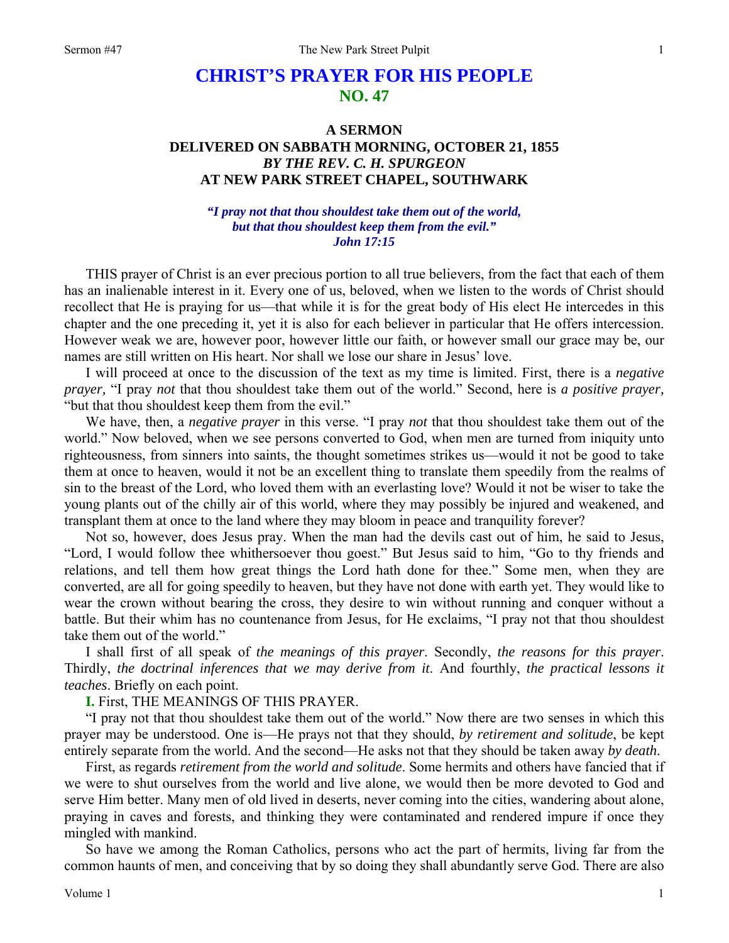# **CHRIST'S PRAYER FOR HIS PEOPLE NO. 47**

# **A SERMON DELIVERED ON SABBATH MORNING, OCTOBER 21, 1855**  *BY THE REV. C. H. SPURGEON*  **AT NEW PARK STREET CHAPEL, SOUTHWARK**

#### *"I pray not that thou shouldest take them out of the world, but that thou shouldest keep them from the evil." John 17:15*

THIS prayer of Christ is an ever precious portion to all true believers, from the fact that each of them has an inalienable interest in it. Every one of us, beloved, when we listen to the words of Christ should recollect that He is praying for us—that while it is for the great body of His elect He intercedes in this chapter and the one preceding it, yet it is also for each believer in particular that He offers intercession. However weak we are, however poor, however little our faith, or however small our grace may be, our names are still written on His heart. Nor shall we lose our share in Jesus' love.

I will proceed at once to the discussion of the text as my time is limited. First, there is a *negative prayer,* "I pray *not* that thou shouldest take them out of the world." Second, here is *a positive prayer,* "but that thou shouldest keep them from the evil."

We have, then, a *negative prayer* in this verse. "I pray *not* that thou shouldest take them out of the world." Now beloved, when we see persons converted to God, when men are turned from iniquity unto righteousness, from sinners into saints, the thought sometimes strikes us—would it not be good to take them at once to heaven, would it not be an excellent thing to translate them speedily from the realms of sin to the breast of the Lord, who loved them with an everlasting love? Would it not be wiser to take the young plants out of the chilly air of this world, where they may possibly be injured and weakened, and transplant them at once to the land where they may bloom in peace and tranquility forever?

Not so, however, does Jesus pray. When the man had the devils cast out of him, he said to Jesus, "Lord, I would follow thee whithersoever thou goest." But Jesus said to him, "Go to thy friends and relations, and tell them how great things the Lord hath done for thee." Some men, when they are converted, are all for going speedily to heaven, but they have not done with earth yet. They would like to wear the crown without bearing the cross, they desire to win without running and conquer without a battle. But their whim has no countenance from Jesus, for He exclaims, "I pray not that thou shouldest take them out of the world."

I shall first of all speak of *the meanings of this prayer*. Secondly, *the reasons for this prayer*. Thirdly, *the doctrinal inferences that we may derive from it*. And fourthly, *the practical lessons it teaches*. Briefly on each point.

**I.** First, THE MEANINGS OF THIS PRAYER.

"I pray not that thou shouldest take them out of the world." Now there are two senses in which this prayer may be understood. One is—He prays not that they should, *by retirement and solitude*, be kept entirely separate from the world. And the second—He asks not that they should be taken away *by death*.

First, as regards *retirement from the world and solitude*. Some hermits and others have fancied that if we were to shut ourselves from the world and live alone, we would then be more devoted to God and serve Him better. Many men of old lived in deserts, never coming into the cities, wandering about alone, praying in caves and forests, and thinking they were contaminated and rendered impure if once they mingled with mankind.

So have we among the Roman Catholics, persons who act the part of hermits, living far from the common haunts of men, and conceiving that by so doing they shall abundantly serve God. There are also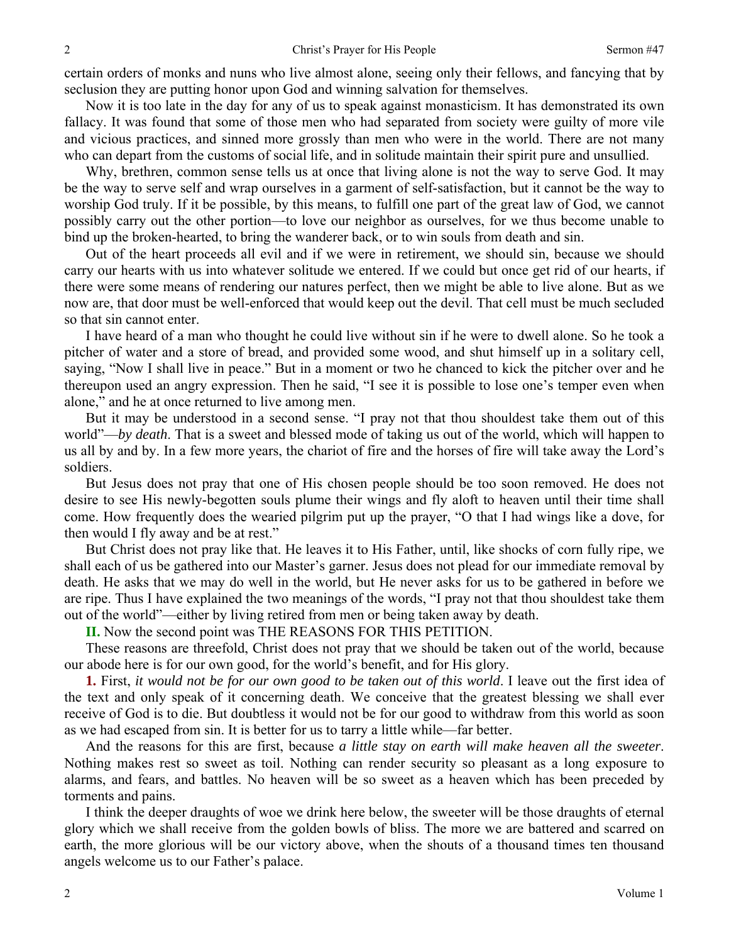certain orders of monks and nuns who live almost alone, seeing only their fellows, and fancying that by seclusion they are putting honor upon God and winning salvation for themselves.

Now it is too late in the day for any of us to speak against monasticism. It has demonstrated its own fallacy. It was found that some of those men who had separated from society were guilty of more vile and vicious practices, and sinned more grossly than men who were in the world. There are not many who can depart from the customs of social life, and in solitude maintain their spirit pure and unsullied.

Why, brethren, common sense tells us at once that living alone is not the way to serve God. It may be the way to serve self and wrap ourselves in a garment of self-satisfaction, but it cannot be the way to worship God truly. If it be possible, by this means, to fulfill one part of the great law of God, we cannot possibly carry out the other portion—to love our neighbor as ourselves, for we thus become unable to bind up the broken-hearted, to bring the wanderer back, or to win souls from death and sin.

Out of the heart proceeds all evil and if we were in retirement, we should sin, because we should carry our hearts with us into whatever solitude we entered. If we could but once get rid of our hearts, if there were some means of rendering our natures perfect, then we might be able to live alone. But as we now are, that door must be well-enforced that would keep out the devil. That cell must be much secluded so that sin cannot enter.

I have heard of a man who thought he could live without sin if he were to dwell alone. So he took a pitcher of water and a store of bread, and provided some wood, and shut himself up in a solitary cell, saying, "Now I shall live in peace." But in a moment or two he chanced to kick the pitcher over and he thereupon used an angry expression. Then he said, "I see it is possible to lose one's temper even when alone," and he at once returned to live among men.

But it may be understood in a second sense. "I pray not that thou shouldest take them out of this world"—*by death*. That is a sweet and blessed mode of taking us out of the world, which will happen to us all by and by. In a few more years, the chariot of fire and the horses of fire will take away the Lord's soldiers.

But Jesus does not pray that one of His chosen people should be too soon removed. He does not desire to see His newly-begotten souls plume their wings and fly aloft to heaven until their time shall come. How frequently does the wearied pilgrim put up the prayer, "O that I had wings like a dove, for then would I fly away and be at rest."

But Christ does not pray like that. He leaves it to His Father, until, like shocks of corn fully ripe, we shall each of us be gathered into our Master's garner. Jesus does not plead for our immediate removal by death. He asks that we may do well in the world, but He never asks for us to be gathered in before we are ripe. Thus I have explained the two meanings of the words, "I pray not that thou shouldest take them out of the world"—either by living retired from men or being taken away by death.

**II.** Now the second point was THE REASONS FOR THIS PETITION.

These reasons are threefold, Christ does not pray that we should be taken out of the world, because our abode here is for our own good, for the world's benefit, and for His glory.

**1.** First, *it would not be for our own good to be taken out of this world*. I leave out the first idea of the text and only speak of it concerning death. We conceive that the greatest blessing we shall ever receive of God is to die. But doubtless it would not be for our good to withdraw from this world as soon as we had escaped from sin. It is better for us to tarry a little while—far better.

And the reasons for this are first, because *a little stay on earth will make heaven all the sweeter*. Nothing makes rest so sweet as toil. Nothing can render security so pleasant as a long exposure to alarms, and fears, and battles. No heaven will be so sweet as a heaven which has been preceded by torments and pains.

I think the deeper draughts of woe we drink here below, the sweeter will be those draughts of eternal glory which we shall receive from the golden bowls of bliss. The more we are battered and scarred on earth, the more glorious will be our victory above, when the shouts of a thousand times ten thousand angels welcome us to our Father's palace.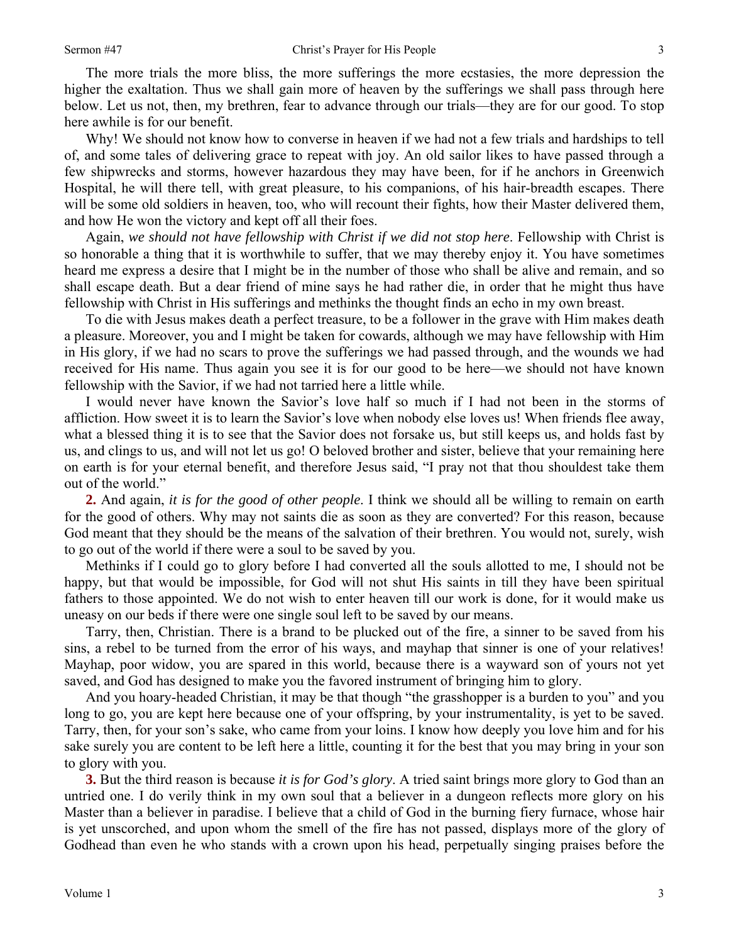The more trials the more bliss, the more sufferings the more ecstasies, the more depression the higher the exaltation. Thus we shall gain more of heaven by the sufferings we shall pass through here below. Let us not, then, my brethren, fear to advance through our trials—they are for our good. To stop here awhile is for our benefit.

Why! We should not know how to converse in heaven if we had not a few trials and hardships to tell of, and some tales of delivering grace to repeat with joy. An old sailor likes to have passed through a few shipwrecks and storms, however hazardous they may have been, for if he anchors in Greenwich Hospital, he will there tell, with great pleasure, to his companions, of his hair-breadth escapes. There will be some old soldiers in heaven, too, who will recount their fights, how their Master delivered them, and how He won the victory and kept off all their foes.

Again, *we should not have fellowship with Christ if we did not stop here*. Fellowship with Christ is so honorable a thing that it is worthwhile to suffer, that we may thereby enjoy it. You have sometimes heard me express a desire that I might be in the number of those who shall be alive and remain, and so shall escape death. But a dear friend of mine says he had rather die, in order that he might thus have fellowship with Christ in His sufferings and methinks the thought finds an echo in my own breast.

To die with Jesus makes death a perfect treasure, to be a follower in the grave with Him makes death a pleasure. Moreover, you and I might be taken for cowards, although we may have fellowship with Him in His glory, if we had no scars to prove the sufferings we had passed through, and the wounds we had received for His name. Thus again you see it is for our good to be here—we should not have known fellowship with the Savior, if we had not tarried here a little while.

I would never have known the Savior's love half so much if I had not been in the storms of affliction. How sweet it is to learn the Savior's love when nobody else loves us! When friends flee away, what a blessed thing it is to see that the Savior does not forsake us, but still keeps us, and holds fast by us, and clings to us, and will not let us go! O beloved brother and sister, believe that your remaining here on earth is for your eternal benefit, and therefore Jesus said, "I pray not that thou shouldest take them out of the world."

**2.** And again, *it is for the good of other people*. I think we should all be willing to remain on earth for the good of others. Why may not saints die as soon as they are converted? For this reason, because God meant that they should be the means of the salvation of their brethren. You would not, surely, wish to go out of the world if there were a soul to be saved by you.

Methinks if I could go to glory before I had converted all the souls allotted to me, I should not be happy, but that would be impossible, for God will not shut His saints in till they have been spiritual fathers to those appointed. We do not wish to enter heaven till our work is done, for it would make us uneasy on our beds if there were one single soul left to be saved by our means.

Tarry, then, Christian. There is a brand to be plucked out of the fire, a sinner to be saved from his sins, a rebel to be turned from the error of his ways, and mayhap that sinner is one of your relatives! Mayhap, poor widow, you are spared in this world, because there is a wayward son of yours not yet saved, and God has designed to make you the favored instrument of bringing him to glory.

And you hoary-headed Christian, it may be that though "the grasshopper is a burden to you" and you long to go, you are kept here because one of your offspring, by your instrumentality, is yet to be saved. Tarry, then, for your son's sake, who came from your loins. I know how deeply you love him and for his sake surely you are content to be left here a little, counting it for the best that you may bring in your son to glory with you.

**3.** But the third reason is because *it is for God's glory*. A tried saint brings more glory to God than an untried one. I do verily think in my own soul that a believer in a dungeon reflects more glory on his Master than a believer in paradise. I believe that a child of God in the burning fiery furnace, whose hair is yet unscorched, and upon whom the smell of the fire has not passed, displays more of the glory of Godhead than even he who stands with a crown upon his head, perpetually singing praises before the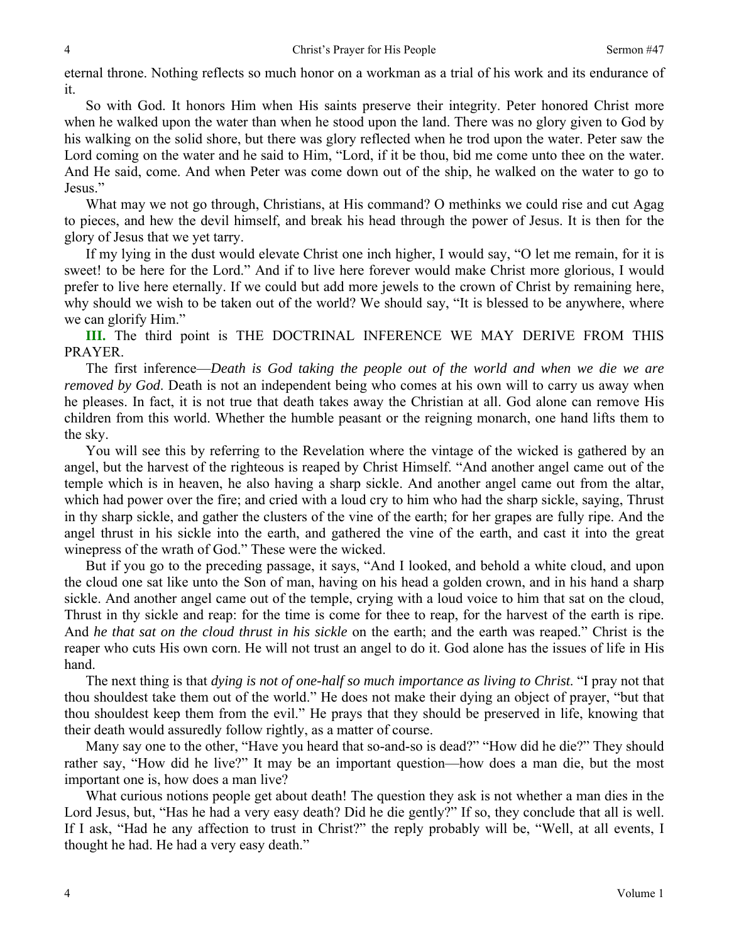eternal throne. Nothing reflects so much honor on a workman as a trial of his work and its endurance of it.

So with God. It honors Him when His saints preserve their integrity. Peter honored Christ more when he walked upon the water than when he stood upon the land. There was no glory given to God by his walking on the solid shore, but there was glory reflected when he trod upon the water. Peter saw the Lord coming on the water and he said to Him, "Lord, if it be thou, bid me come unto thee on the water. And He said, come. And when Peter was come down out of the ship, he walked on the water to go to Jesus."

What may we not go through, Christians, at His command? O methinks we could rise and cut Agag to pieces, and hew the devil himself, and break his head through the power of Jesus. It is then for the glory of Jesus that we yet tarry.

If my lying in the dust would elevate Christ one inch higher, I would say, "O let me remain, for it is sweet! to be here for the Lord." And if to live here forever would make Christ more glorious, I would prefer to live here eternally. If we could but add more jewels to the crown of Christ by remaining here, why should we wish to be taken out of the world? We should say, "It is blessed to be anywhere, where we can glorify Him."

**III.** The third point is THE DOCTRINAL INFERENCE WE MAY DERIVE FROM THIS PRAYER.

The first inference—*Death is God taking the people out of the world and when we die we are removed by God*. Death is not an independent being who comes at his own will to carry us away when he pleases. In fact, it is not true that death takes away the Christian at all. God alone can remove His children from this world. Whether the humble peasant or the reigning monarch, one hand lifts them to the sky.

You will see this by referring to the Revelation where the vintage of the wicked is gathered by an angel, but the harvest of the righteous is reaped by Christ Himself. "And another angel came out of the temple which is in heaven, he also having a sharp sickle. And another angel came out from the altar, which had power over the fire; and cried with a loud cry to him who had the sharp sickle, saying, Thrust in thy sharp sickle, and gather the clusters of the vine of the earth; for her grapes are fully ripe. And the angel thrust in his sickle into the earth, and gathered the vine of the earth, and cast it into the great winepress of the wrath of God." These were the wicked.

But if you go to the preceding passage, it says, "And I looked, and behold a white cloud, and upon the cloud one sat like unto the Son of man, having on his head a golden crown, and in his hand a sharp sickle. And another angel came out of the temple, crying with a loud voice to him that sat on the cloud, Thrust in thy sickle and reap: for the time is come for thee to reap, for the harvest of the earth is ripe. And *he that sat on the cloud thrust in his sickle* on the earth; and the earth was reaped." Christ is the reaper who cuts His own corn. He will not trust an angel to do it. God alone has the issues of life in His hand.

The next thing is that *dying is not of one-half so much importance as living to Christ*. "I pray not that thou shouldest take them out of the world." He does not make their dying an object of prayer, "but that thou shouldest keep them from the evil." He prays that they should be preserved in life, knowing that their death would assuredly follow rightly, as a matter of course.

Many say one to the other, "Have you heard that so-and-so is dead?" "How did he die?" They should rather say, "How did he live?" It may be an important question—how does a man die, but the most important one is, how does a man live?

What curious notions people get about death! The question they ask is not whether a man dies in the Lord Jesus, but, "Has he had a very easy death? Did he die gently?" If so, they conclude that all is well. If I ask, "Had he any affection to trust in Christ?" the reply probably will be, "Well, at all events, I thought he had. He had a very easy death."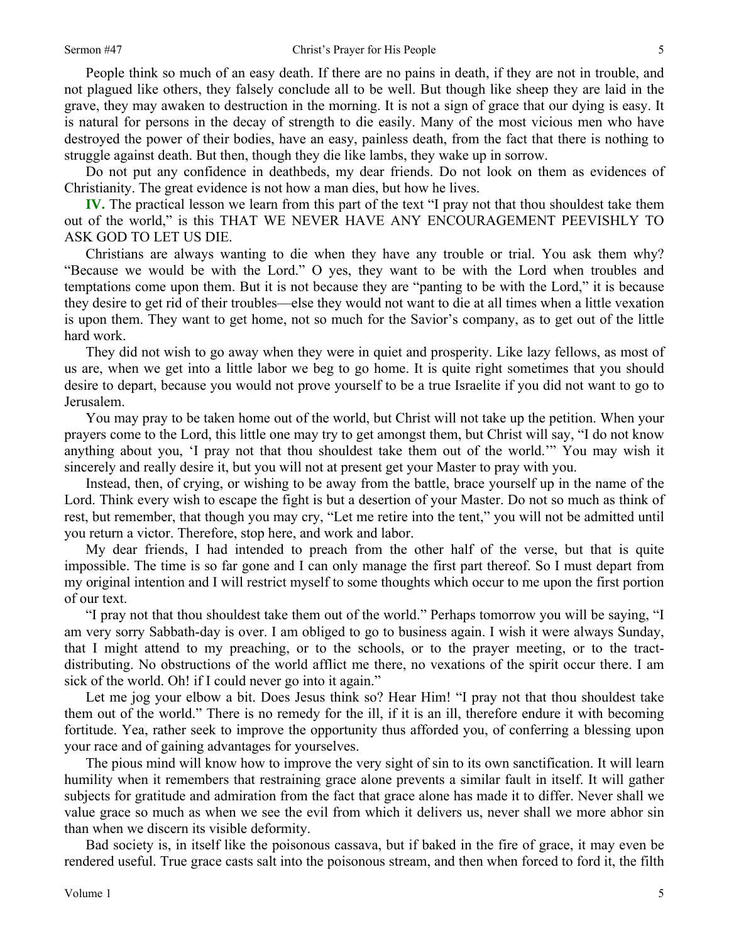People think so much of an easy death. If there are no pains in death, if they are not in trouble, and not plagued like others, they falsely conclude all to be well. But though like sheep they are laid in the grave, they may awaken to destruction in the morning. It is not a sign of grace that our dying is easy. It is natural for persons in the decay of strength to die easily. Many of the most vicious men who have destroyed the power of their bodies, have an easy, painless death, from the fact that there is nothing to struggle against death. But then, though they die like lambs, they wake up in sorrow.

Do not put any confidence in deathbeds, my dear friends. Do not look on them as evidences of Christianity. The great evidence is not how a man dies, but how he lives.

**IV.** The practical lesson we learn from this part of the text "I pray not that thou shouldest take them out of the world," is this THAT WE NEVER HAVE ANY ENCOURAGEMENT PEEVISHLY TO ASK GOD TO LET US DIE.

Christians are always wanting to die when they have any trouble or trial. You ask them why? "Because we would be with the Lord." O yes, they want to be with the Lord when troubles and temptations come upon them. But it is not because they are "panting to be with the Lord," it is because they desire to get rid of their troubles—else they would not want to die at all times when a little vexation is upon them. They want to get home, not so much for the Savior's company, as to get out of the little hard work.

They did not wish to go away when they were in quiet and prosperity. Like lazy fellows, as most of us are, when we get into a little labor we beg to go home. It is quite right sometimes that you should desire to depart, because you would not prove yourself to be a true Israelite if you did not want to go to Jerusalem.

You may pray to be taken home out of the world, but Christ will not take up the petition. When your prayers come to the Lord, this little one may try to get amongst them, but Christ will say, "I do not know anything about you, 'I pray not that thou shouldest take them out of the world.'" You may wish it sincerely and really desire it, but you will not at present get your Master to pray with you.

Instead, then, of crying, or wishing to be away from the battle, brace yourself up in the name of the Lord. Think every wish to escape the fight is but a desertion of your Master. Do not so much as think of rest, but remember, that though you may cry, "Let me retire into the tent," you will not be admitted until you return a victor. Therefore, stop here, and work and labor.

My dear friends, I had intended to preach from the other half of the verse, but that is quite impossible. The time is so far gone and I can only manage the first part thereof. So I must depart from my original intention and I will restrict myself to some thoughts which occur to me upon the first portion of our text.

"I pray not that thou shouldest take them out of the world." Perhaps tomorrow you will be saying, "I am very sorry Sabbath-day is over. I am obliged to go to business again. I wish it were always Sunday, that I might attend to my preaching, or to the schools, or to the prayer meeting, or to the tractdistributing. No obstructions of the world afflict me there, no vexations of the spirit occur there. I am sick of the world. Oh! if I could never go into it again."

Let me jog your elbow a bit. Does Jesus think so? Hear Him! "I pray not that thou shouldest take them out of the world." There is no remedy for the ill, if it is an ill, therefore endure it with becoming fortitude. Yea, rather seek to improve the opportunity thus afforded you, of conferring a blessing upon your race and of gaining advantages for yourselves.

The pious mind will know how to improve the very sight of sin to its own sanctification. It will learn humility when it remembers that restraining grace alone prevents a similar fault in itself. It will gather subjects for gratitude and admiration from the fact that grace alone has made it to differ. Never shall we value grace so much as when we see the evil from which it delivers us, never shall we more abhor sin than when we discern its visible deformity.

Bad society is, in itself like the poisonous cassava, but if baked in the fire of grace, it may even be rendered useful. True grace casts salt into the poisonous stream, and then when forced to ford it, the filth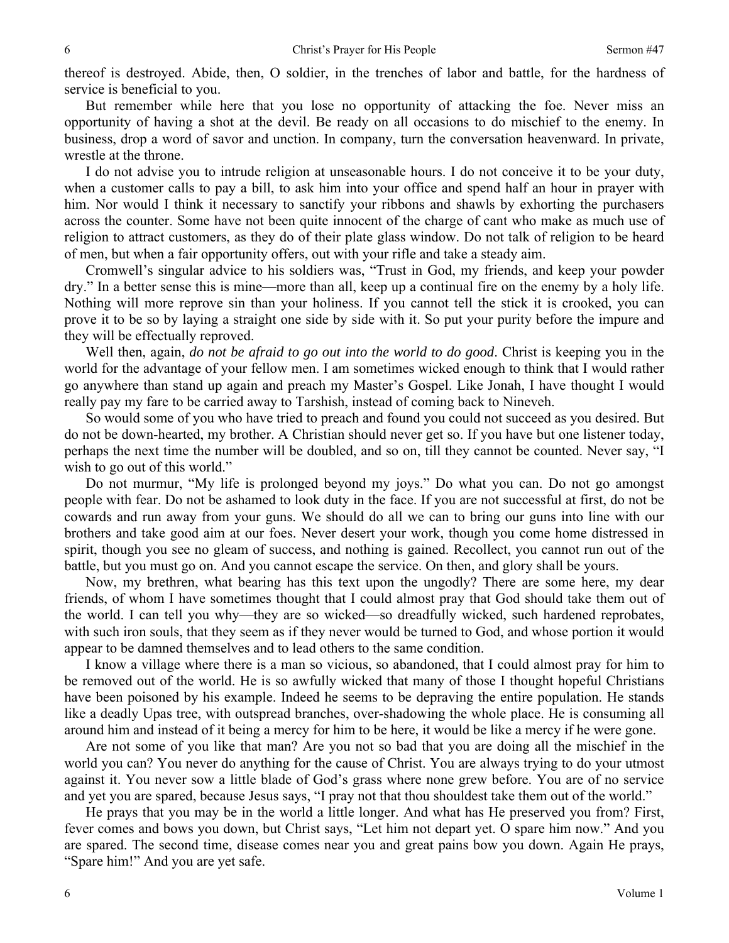thereof is destroyed. Abide, then, O soldier, in the trenches of labor and battle, for the hardness of service is beneficial to you.

But remember while here that you lose no opportunity of attacking the foe. Never miss an opportunity of having a shot at the devil. Be ready on all occasions to do mischief to the enemy. In business, drop a word of savor and unction. In company, turn the conversation heavenward. In private, wrestle at the throne.

I do not advise you to intrude religion at unseasonable hours. I do not conceive it to be your duty, when a customer calls to pay a bill, to ask him into your office and spend half an hour in prayer with him. Nor would I think it necessary to sanctify your ribbons and shawls by exhorting the purchasers across the counter. Some have not been quite innocent of the charge of cant who make as much use of religion to attract customers, as they do of their plate glass window. Do not talk of religion to be heard of men, but when a fair opportunity offers, out with your rifle and take a steady aim.

Cromwell's singular advice to his soldiers was, "Trust in God, my friends, and keep your powder dry." In a better sense this is mine—more than all, keep up a continual fire on the enemy by a holy life. Nothing will more reprove sin than your holiness. If you cannot tell the stick it is crooked, you can prove it to be so by laying a straight one side by side with it. So put your purity before the impure and they will be effectually reproved.

Well then, again, *do not be afraid to go out into the world to do good*. Christ is keeping you in the world for the advantage of your fellow men. I am sometimes wicked enough to think that I would rather go anywhere than stand up again and preach my Master's Gospel. Like Jonah, I have thought I would really pay my fare to be carried away to Tarshish, instead of coming back to Nineveh.

So would some of you who have tried to preach and found you could not succeed as you desired. But do not be down-hearted, my brother. A Christian should never get so. If you have but one listener today, perhaps the next time the number will be doubled, and so on, till they cannot be counted. Never say, "I wish to go out of this world."

Do not murmur, "My life is prolonged beyond my joys." Do what you can. Do not go amongst people with fear. Do not be ashamed to look duty in the face. If you are not successful at first, do not be cowards and run away from your guns. We should do all we can to bring our guns into line with our brothers and take good aim at our foes. Never desert your work, though you come home distressed in spirit, though you see no gleam of success, and nothing is gained. Recollect, you cannot run out of the battle, but you must go on. And you cannot escape the service. On then, and glory shall be yours.

Now, my brethren, what bearing has this text upon the ungodly? There are some here, my dear friends, of whom I have sometimes thought that I could almost pray that God should take them out of the world. I can tell you why—they are so wicked—so dreadfully wicked, such hardened reprobates, with such iron souls, that they seem as if they never would be turned to God, and whose portion it would appear to be damned themselves and to lead others to the same condition.

I know a village where there is a man so vicious, so abandoned, that I could almost pray for him to be removed out of the world. He is so awfully wicked that many of those I thought hopeful Christians have been poisoned by his example. Indeed he seems to be depraving the entire population. He stands like a deadly Upas tree, with outspread branches, over-shadowing the whole place. He is consuming all around him and instead of it being a mercy for him to be here, it would be like a mercy if he were gone.

Are not some of you like that man? Are you not so bad that you are doing all the mischief in the world you can? You never do anything for the cause of Christ. You are always trying to do your utmost against it. You never sow a little blade of God's grass where none grew before. You are of no service and yet you are spared, because Jesus says, "I pray not that thou shouldest take them out of the world."

He prays that you may be in the world a little longer. And what has He preserved you from? First, fever comes and bows you down, but Christ says, "Let him not depart yet. O spare him now." And you are spared. The second time, disease comes near you and great pains bow you down. Again He prays, "Spare him!" And you are yet safe.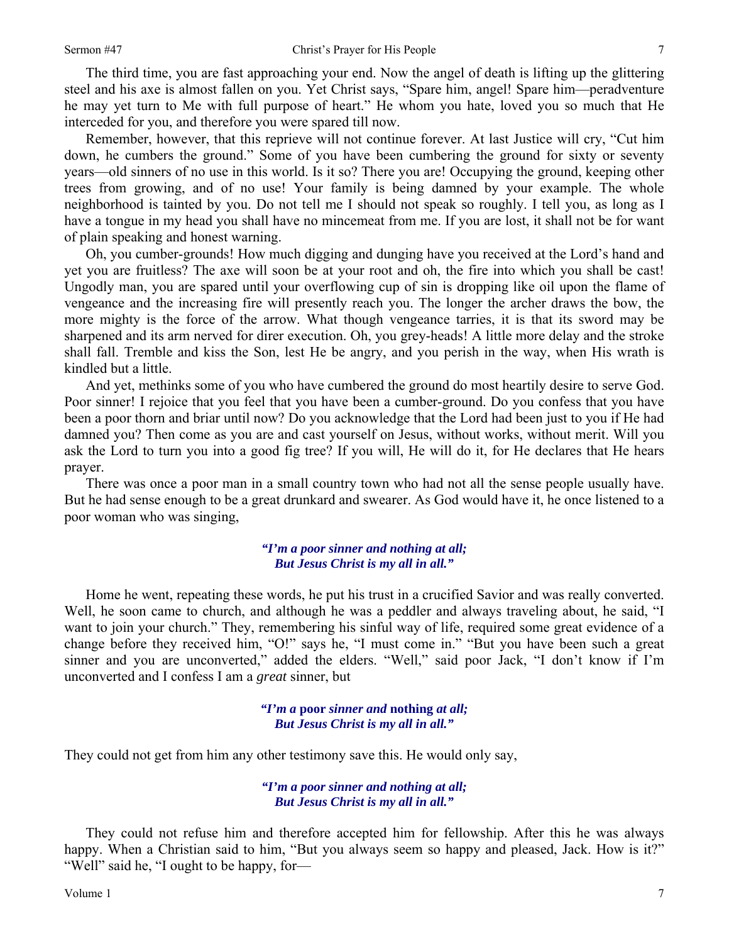The third time, you are fast approaching your end. Now the angel of death is lifting up the glittering steel and his axe is almost fallen on you. Yet Christ says, "Spare him, angel! Spare him—peradventure he may yet turn to Me with full purpose of heart." He whom you hate, loved you so much that He interceded for you, and therefore you were spared till now.

Remember, however, that this reprieve will not continue forever. At last Justice will cry, "Cut him down, he cumbers the ground." Some of you have been cumbering the ground for sixty or seventy years—old sinners of no use in this world. Is it so? There you are! Occupying the ground, keeping other trees from growing, and of no use! Your family is being damned by your example. The whole neighborhood is tainted by you. Do not tell me I should not speak so roughly. I tell you, as long as I have a tongue in my head you shall have no mincemeat from me. If you are lost, it shall not be for want of plain speaking and honest warning.

Oh, you cumber-grounds! How much digging and dunging have you received at the Lord's hand and yet you are fruitless? The axe will soon be at your root and oh, the fire into which you shall be cast! Ungodly man, you are spared until your overflowing cup of sin is dropping like oil upon the flame of vengeance and the increasing fire will presently reach you. The longer the archer draws the bow, the more mighty is the force of the arrow. What though vengeance tarries, it is that its sword may be sharpened and its arm nerved for direr execution. Oh, you grey-heads! A little more delay and the stroke shall fall. Tremble and kiss the Son, lest He be angry, and you perish in the way, when His wrath is kindled but a little.

And yet, methinks some of you who have cumbered the ground do most heartily desire to serve God. Poor sinner! I rejoice that you feel that you have been a cumber-ground. Do you confess that you have been a poor thorn and briar until now? Do you acknowledge that the Lord had been just to you if He had damned you? Then come as you are and cast yourself on Jesus, without works, without merit. Will you ask the Lord to turn you into a good fig tree? If you will, He will do it, for He declares that He hears prayer.

There was once a poor man in a small country town who had not all the sense people usually have. But he had sense enough to be a great drunkard and swearer. As God would have it, he once listened to a poor woman who was singing,

#### *"I'm a poor sinner and nothing at all; But Jesus Christ is my all in all."*

Home he went, repeating these words, he put his trust in a crucified Savior and was really converted. Well, he soon came to church, and although he was a peddler and always traveling about, he said, "I want to join your church." They, remembering his sinful way of life, required some great evidence of a change before they received him, "O!" says he, "I must come in." "But you have been such a great sinner and you are unconverted," added the elders. "Well," said poor Jack, "I don't know if I'm unconverted and I confess I am a *great* sinner, but

> *"I'm a* **poor** *sinner and* **nothing** *at all; But Jesus Christ is my all in all."*

They could not get from him any other testimony save this. He would only say,

*"I'm a poor sinner and nothing at all; But Jesus Christ is my all in all."* 

They could not refuse him and therefore accepted him for fellowship. After this he was always happy. When a Christian said to him, "But you always seem so happy and pleased, Jack. How is it?" "Well" said he, "I ought to be happy, for—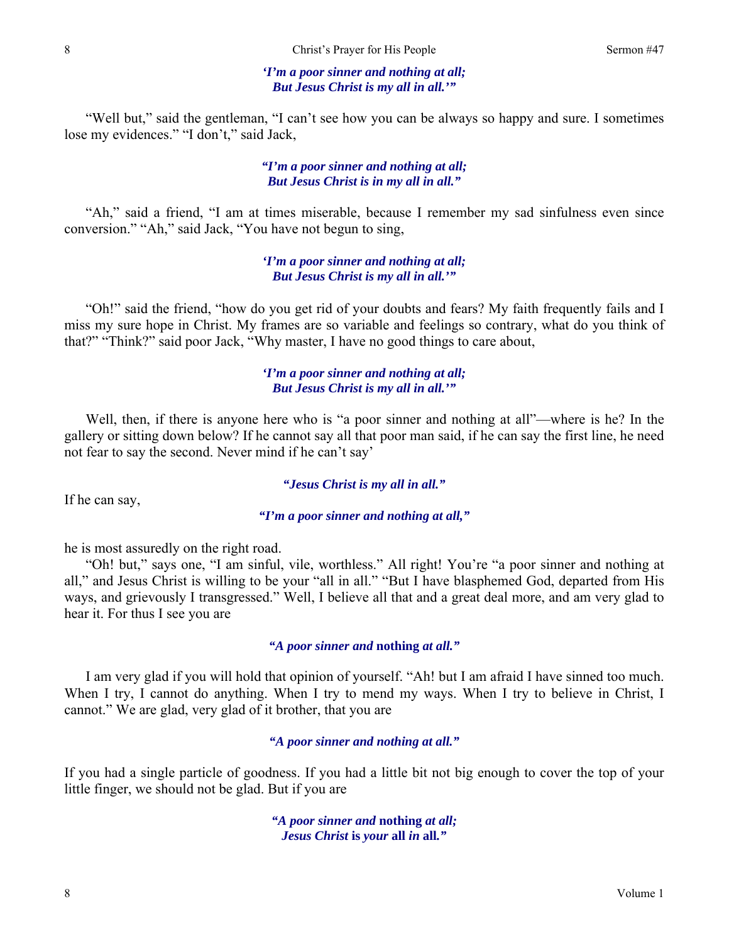#### *'I'm a poor sinner and nothing at all; But Jesus Christ is my all in all.'"*

"Well but," said the gentleman, "I can't see how you can be always so happy and sure. I sometimes lose my evidences." "I don't," said Jack,

### *"I'm a poor sinner and nothing at all; But Jesus Christ is in my all in all."*

"Ah," said a friend, "I am at times miserable, because I remember my sad sinfulness even since conversion." "Ah," said Jack, "You have not begun to sing,

> *'I'm a poor sinner and nothing at all; But Jesus Christ is my all in all.'"*

"Oh!" said the friend, "how do you get rid of your doubts and fears? My faith frequently fails and I miss my sure hope in Christ. My frames are so variable and feelings so contrary, what do you think of that?" "Think?" said poor Jack, "Why master, I have no good things to care about,

## *'I'm a poor sinner and nothing at all; But Jesus Christ is my all in all.'"*

Well, then, if there is anyone here who is "a poor sinner and nothing at all"—where is he? In the gallery or sitting down below? If he cannot say all that poor man said, if he can say the first line, he need not fear to say the second. Never mind if he can't say'

#### *"Jesus Christ is my all in all."*

If he can say,

*"I'm a poor sinner and nothing at all,"* 

he is most assuredly on the right road.

"Oh! but," says one, "I am sinful, vile, worthless." All right! You're "a poor sinner and nothing at all," and Jesus Christ is willing to be your "all in all." "But I have blasphemed God, departed from His ways, and grievously I transgressed." Well, I believe all that and a great deal more, and am very glad to hear it. For thus I see you are

#### *"A poor sinner and* **nothing** *at all."*

I am very glad if you will hold that opinion of yourself. "Ah! but I am afraid I have sinned too much. When I try, I cannot do anything. When I try to mend my ways. When I try to believe in Christ, I cannot." We are glad, very glad of it brother, that you are

#### *"A poor sinner and nothing at all."*

If you had a single particle of goodness. If you had a little bit not big enough to cover the top of your little finger, we should not be glad. But if you are

> *"A poor sinner and* **nothing** *at all; Jesus Christ* **is** *your* **all** *in* **all***."*